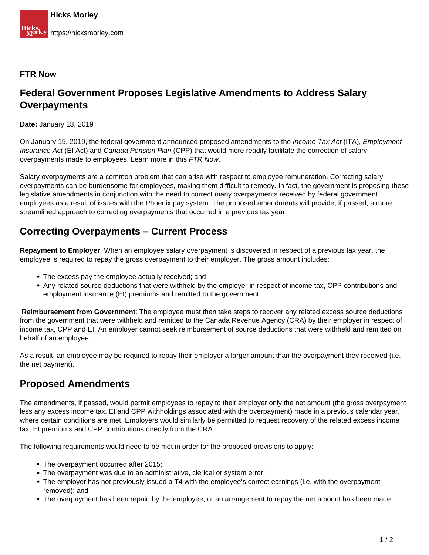#### **FTR Now**

# **Federal Government Proposes Legislative Amendments to Address Salary Overpayments**

**Date:** January 18, 2019

On January 15, 2019, the federal government announced proposed amendments to the Income Tax Act (ITA), Employment Insurance Act (EI Act) and Canada Pension Plan (CPP) that would more readily facilitate the correction of salary overpayments made to employees. Learn more in this FTR Now.

Salary overpayments are a common problem that can arise with respect to employee remuneration. Correcting salary overpayments can be burdensome for employees, making them difficult to remedy. In fact, the government is proposing these legislative amendments in conjunction with the need to correct many overpayments received by federal government employees as a result of issues with the Phoenix pay system. The proposed amendments will provide, if passed, a more streamlined approach to correcting overpayments that occurred in a previous tax year.

## **Correcting Overpayments – Current Process**

**Repayment to Employer**: When an employee salary overpayment is discovered in respect of a previous tax year, the employee is required to repay the gross overpayment to their employer. The gross amount includes:

- The excess pay the employee actually received; and
- Any related source deductions that were withheld by the employer in respect of income tax, CPP contributions and employment insurance (EI) premiums and remitted to the government.

**Reimbursement from Government**: The employee must then take steps to recover any related excess source deductions from the government that were withheld and remitted to the Canada Revenue Agency (CRA) by their employer in respect of income tax, CPP and EI. An employer cannot seek reimbursement of source deductions that were withheld and remitted on behalf of an employee.

As a result, an employee may be required to repay their employer a larger amount than the overpayment they received (i.e. the net payment).

# **Proposed Amendments**

The amendments, if passed, would permit employees to repay to their employer only the net amount (the gross overpayment less any excess income tax, EI and CPP withholdings associated with the overpayment) made in a previous calendar year, where certain conditions are met. Employers would similarly be permitted to request recovery of the related excess income tax, EI premiums and CPP contributions directly from the CRA.

The following requirements would need to be met in order for the proposed provisions to apply:

- The overpayment occurred after 2015:
- The overpayment was due to an administrative, clerical or system error;
- The employer has not previously issued a T4 with the employee's correct earnings (i.e. with the overpayment removed); and
- The overpayment has been repaid by the employee, or an arrangement to repay the net amount has been made